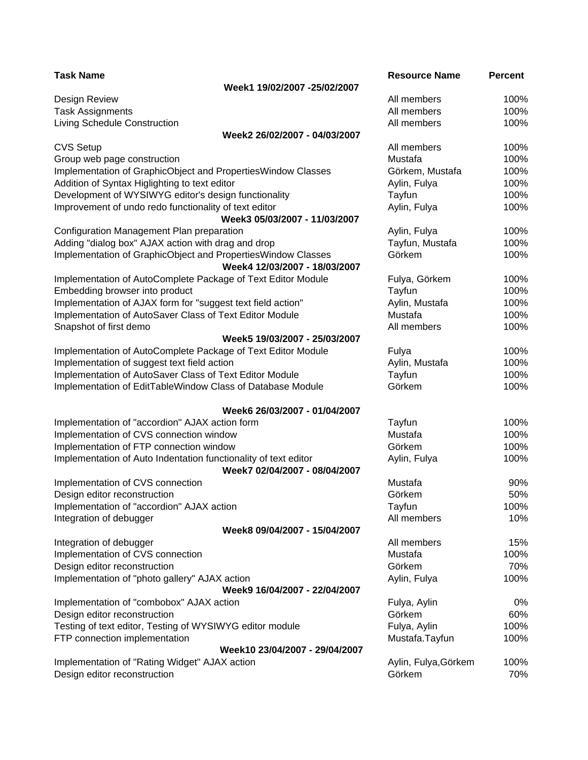| <b>Task Name</b>                                                                                 | <b>Resource Name</b> | <b>Percent</b> |
|--------------------------------------------------------------------------------------------------|----------------------|----------------|
| Week1 19/02/2007 -25/02/2007                                                                     |                      |                |
| Design Review                                                                                    | All members          | 100%           |
| <b>Task Assignments</b>                                                                          | All members          | 100%           |
| <b>Living Schedule Construction</b>                                                              | All members          | 100%           |
| Week2 26/02/2007 - 04/03/2007                                                                    |                      |                |
| <b>CVS Setup</b>                                                                                 | All members          | 100%           |
| Group web page construction                                                                      | Mustafa              | 100%           |
| Implementation of GraphicObject and PropertiesWindow Classes                                     | Görkem, Mustafa      | 100%           |
| Addition of Syntax Higlighting to text editor                                                    | Aylin, Fulya         | 100%           |
| Development of WYSIWYG editor's design functionality                                             | Tayfun               | 100%           |
| Improvement of undo redo functionality of text editor                                            | Aylin, Fulya         | 100%           |
| Week3 05/03/2007 - 11/03/2007                                                                    |                      |                |
| Configuration Management Plan preparation                                                        | Aylin, Fulya         | 100%           |
| Adding "dialog box" AJAX action with drag and drop                                               | Tayfun, Mustafa      | 100%           |
| Implementation of GraphicObject and PropertiesWindow Classes<br>Week4 12/03/2007 - 18/03/2007    | Görkem               | 100%           |
| Implementation of AutoComplete Package of Text Editor Module                                     | Fulya, Görkem        | 100%           |
| Embedding browser into product                                                                   | Tayfun               | 100%           |
| Implementation of AJAX form for "suggest text field action"                                      | Aylin, Mustafa       | 100%           |
| Implementation of AutoSaver Class of Text Editor Module                                          | Mustafa              | 100%           |
| Snapshot of first demo                                                                           | All members          | 100%           |
| Week5 19/03/2007 - 25/03/2007                                                                    |                      |                |
| Implementation of AutoComplete Package of Text Editor Module                                     | Fulya                | 100%           |
| Implementation of suggest text field action                                                      | Aylin, Mustafa       | 100%           |
| Implementation of AutoSaver Class of Text Editor Module                                          | Tayfun               | 100%           |
| Implementation of EditTableWindow Class of Database Module                                       | Görkem               | 100%           |
| Week6 26/03/2007 - 01/04/2007                                                                    |                      |                |
| Implementation of "accordion" AJAX action form                                                   | Tayfun               | 100%           |
| Implementation of CVS connection window                                                          | Mustafa              | 100%           |
| Implementation of FTP connection window                                                          | Görkem               | 100%           |
| Implementation of Auto Indentation functionality of text editor<br>Week7 02/04/2007 - 08/04/2007 | Aylin, Fulya         | 100%           |
| Implementation of CVS connection                                                                 | Mustafa              | 90%            |
| Design editor reconstruction                                                                     | Görkem               | 50%            |
| Implementation of "accordion" AJAX action                                                        | Tayfun               | 100%           |
| Integration of debugger                                                                          | All members          | 10%            |
| Week8 09/04/2007 - 15/04/2007                                                                    |                      |                |
| Integration of debugger                                                                          | All members          | 15%            |
| Implementation of CVS connection                                                                 | Mustafa              | 100%           |
| Design editor reconstruction                                                                     | Görkem               | 70%            |
| Implementation of "photo gallery" AJAX action                                                    | Aylin, Fulya         | 100%           |
| Week9 16/04/2007 - 22/04/2007                                                                    |                      |                |
| Implementation of "combobox" AJAX action                                                         | Fulya, Aylin         | 0%             |
| Design editor reconstruction                                                                     | Görkem               | 60%            |
| Testing of text editor, Testing of WYSIWYG editor module                                         | Fulya, Aylin         | 100%           |
| FTP connection implementation                                                                    | Mustafa.Tayfun       | 100%           |
| Week10 23/04/2007 - 29/04/2007                                                                   |                      |                |
| Implementation of "Rating Widget" AJAX action                                                    | Aylin, Fulya, Görkem | 100%           |
| Design editor reconstruction                                                                     | Görkem               | 70%            |